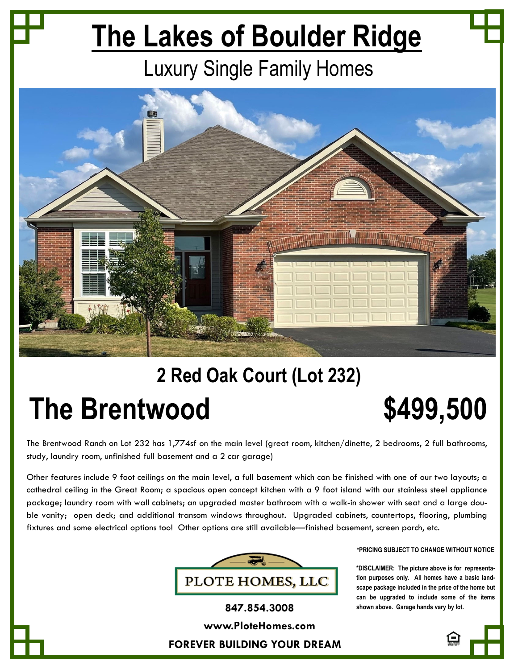## **The Lakes of Boulder Ridge**

## Luxury Single Family Homes



## **2 Red Oak Court (Lot 232) The Brentwood 5499,500**

The Brentwood Ranch on Lot 232 has 1,774sf on the main level (great room, kitchen/dinette, 2 bedrooms, 2 full bathrooms, study, laundry room, unfinished full basement and a 2 car garage)

Other features include 9 foot ceilings on the main level, a full basement which can be finished with one of our two layouts; a cathedral ceiling in the Great Room; a spacious open concept kitchen with a 9 foot island with our stainless steel appliance package; laundry room with wall cabinets; an upgraded master bathroom with a walk-in shower with seat and a large double vanity; open deck; and additional transom windows throughout. Upgraded cabinets, countertops, flooring, plumbing fixtures and some electrical options too! Other options are still available—finished basement, screen porch, etc.



**\*PRICING SUBJECT TO CHANGE WITHOUT NOTICE** 

**\*DISCLAIMER: The picture above is for representation purposes only. All homes have a basic landscape package included in the price of the home but can be upgraded to include some of the items 847.854.3008 shown above. Garage hands vary by lot.**

**www.PloteHomes.com**

**FOREVER BUILDING YOUR DREAM**